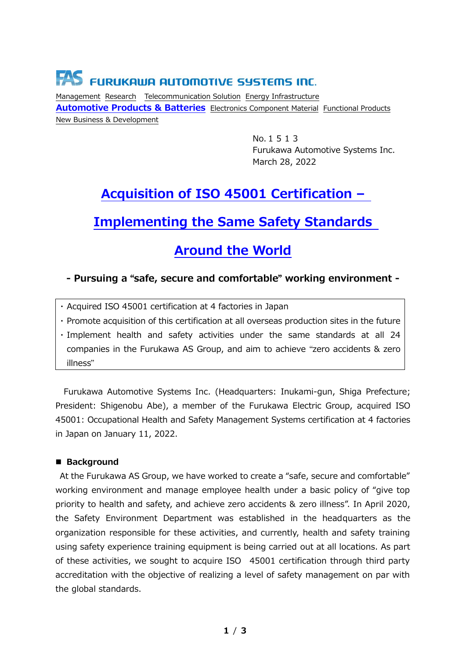# **FAS** FURUKAWA AUTOMOTIVE SYSTEMS INC.

Management Research Telecommunication Solution Energy Infrastructure **Automotive Products & Batteries** Electronics Component Material Functional Products New Business & Development

> No.1513 Furukawa Automotive Systems Inc. March 28, 2022

# **Acquisition of ISO 45001 Certification –**

## **Implementing the Same Safety Standards**

### **Around the World**

### **- Pursuing a** "**safe, secure and comfortable**" **working environment -**

・ Acquired ISO 45001 certification at 4 factories in Japan

・ Promote acquisition of this certification at all overseas production sites in the future

・ Implement health and safety activities under the same standards at all 24 companies in the Furukawa AS Group, and aim to achieve "zero accidents & zero illness"

Furukawa Automotive Systems Inc. (Headquarters: Inukami-gun, Shiga Prefecture; President: Shigenobu Abe), a member of the Furukawa Electric Group, acquired ISO 45001: Occupational Health and Safety Management Systems certification at 4 factories in Japan on January 11, 2022.

### ■ **Background**

At the Furukawa AS Group, we have worked to create a "safe, secure and comfortable" working environment and manage employee health under a basic policy of "give top priority to health and safety, and achieve zero accidents & zero illness". In April 2020, the Safety Environment Department was established in the headquarters as the organization responsible for these activities, and currently, health and safety training using safety experience training equipment is being carried out at all locations. As part of these activities, we sought to acquire ISO 45001 certification through third party accreditation with the objective of realizing a level of safety management on par with the global standards.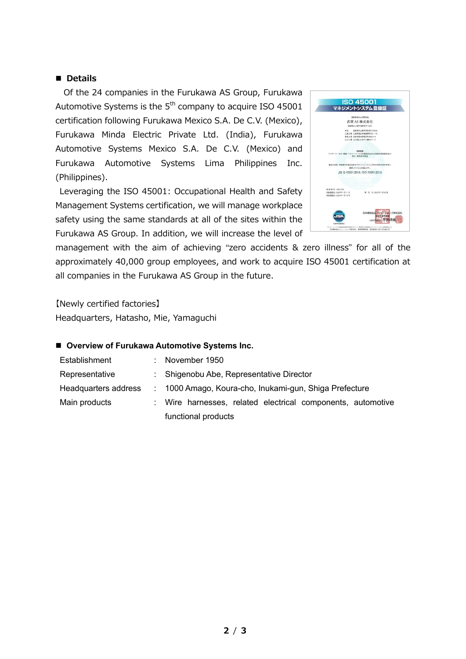### ■ **Details**

Of the 24 companies in the Furukawa AS Group, Furukawa Automotive Systems is the  $5<sup>th</sup>$  company to acquire ISO 45001 certification following Furukawa Mexico S.A. De C.V. (Mexico), Furukawa Minda Electric Private Ltd. (India), Furukawa Automotive Systems Mexico S.A. De C.V. (Mexico) and Furukawa Automotive Systems Lima Philippines Inc. (Philippines).

Leveraging the ISO 45001: Occupational Health and Safety Management Systems certification, we will manage workplace safety using the same standards at all of the sites within the Furukawa AS Group. In addition, we will increase the level of



management with the aim of achieving "zero accidents & zero illness" for all of the approximately 40,000 group employees, and work to acquire ISO 45001 certification at all companies in the Furukawa AS Group in the future.

【Newly certified factories】 Headquarters, Hatasho, Mie, Yamaguchi

#### ■ Overview of Furukawa Automotive Systems Inc.

| : November $1950$                                           |
|-------------------------------------------------------------|
| : Shigenobu Abe, Representative Director                    |
| : 1000 Amago, Koura-cho, Inukami-gun, Shiga Prefecture      |
| : Wire harnesses, related electrical components, automotive |
| functional products                                         |
|                                                             |